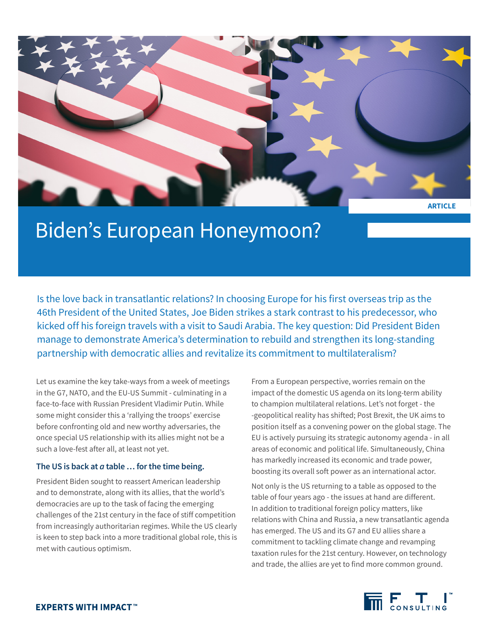

# Biden's European Honeymoon?

Is the love back in transatlantic relations? In choosing Europe for his first overseas trip as the 46th President of the United States, Joe Biden strikes a stark contrast to his predecessor, who kicked off his foreign travels with a visit to Saudi Arabia. The key question: Did President Biden manage to demonstrate America's determination to rebuild and strengthen its long-standing partnership with democratic allies and revitalize its commitment to multilateralism?

Let us examine the key take-ways from a week of meetings in the G7, NATO, and the EU-US Summit - culminating in a face-to-face with Russian President Vladimir Putin. While some might consider this a 'rallying the troops' exercise before confronting old and new worthy adversaries, the once special US relationship with its allies might not be a such a love-fest after all, at least not yet.

# **The US is back at** *a* **table … for the time being.**

President Biden sought to reassert American leadership and to demonstrate, along with its allies, that the world's democracies are up to the task of facing the emerging challenges of the 21st century in the face of stiff competition from increasingly authoritarian regimes. While the US clearly is keen to step back into a more traditional global role, this is met with cautious optimism.

From a European perspective, worries remain on the impact of the domestic US agenda on its long-term ability to champion multilateral relations. Let's not forget - the -geopolitical reality has shifted; Post Brexit, the UK aims to position itself as a convening power on the global stage. The EU is actively pursuing its strategic autonomy agenda - in all areas of economic and political life. Simultaneously, China has markedly increased its economic and trade power, boosting its overall soft power as an international actor.

Not only is the US returning to a table as opposed to the table of four years ago - the issues at hand are different. In addition to traditional foreign policy matters, like relations with China and Russia, a new transatlantic agenda has emerged. The US and its G7 and EU allies share a commitment to tackling climate change and revamping taxation rules for the 21st century. However, on technology and trade, the allies are yet to find more common ground.

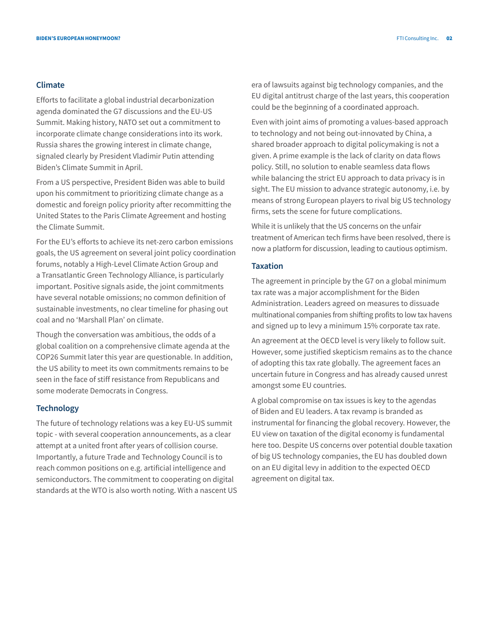# **Climate**

Efforts to facilitate a global industrial decarbonization agenda dominated the G7 discussions and the EU-US Summit. Making history, NATO set out a commitment to incorporate climate change considerations into its work. Russia shares the growing interest in climate change, signaled clearly by President Vladimir Putin attending Biden's Climate Summit in April.

From a US perspective, President Biden was able to build upon his commitment to prioritizing climate change as a domestic and foreign policy priority after recommitting the United States to the Paris Climate Agreement and hosting the Climate Summit.

For the EU's efforts to achieve its net-zero carbon emissions goals, the US agreement on several joint policy coordination forums, notably a High-Level Climate Action Group and a Transatlantic Green Technology Alliance, is particularly important. Positive signals aside, the joint commitments have several notable omissions; no common definition of sustainable investments, no clear timeline for phasing out coal and no 'Marshall Plan' on climate.

Though the conversation was ambitious, the odds of a global coalition on a comprehensive climate agenda at the COP26 Summit later this year are questionable. In addition, the US ability to meet its own commitments remains to be seen in the face of stiff resistance from Republicans and some moderate Democrats in Congress.

# **Technology**

The future of technology relations was a key EU-US summit topic - with several cooperation announcements, as a clear attempt at a united front after years of collision course. Importantly, a future Trade and Technology Council is to reach common positions on e.g. artificial intelligence and semiconductors. The commitment to cooperating on digital standards at the WTO is also worth noting. With a nascent US Even with joint aims of promoting a values-based approach to technology and not being out-innovated by China, a shared broader approach to digital policymaking is not a given. A prime example is the lack of clarity on data flows policy. Still, no solution to enable seamless data flows while balancing the strict EU approach to data privacy is in sight. The EU mission to advance strategic autonomy, i.e. by means of strong European players to rival big US technology firms, sets the scene for future complications.

While it is unlikely that the US concerns on the unfair treatment of American tech firms have been resolved, there is now a platform for discussion, leading to cautious optimism.

# **Taxation**

The agreement in principle by the G7 on a global minimum tax rate was a major accomplishment for the Biden Administration. Leaders agreed on measures to dissuade multinational companies from shifting profits to low tax havens and signed up to levy a minimum 15% corporate tax rate.

An agreement at the OECD level is very likely to follow suit. However, some justified skepticism remains as to the chance of adopting this tax rate globally. The agreement faces an uncertain future in Congress and has already caused unrest amongst some EU countries.

A global compromise on tax issues is key to the agendas of Biden and EU leaders. A tax revamp is branded as instrumental for financing the global recovery. However, the EU view on taxation of the digital economy is fundamental here too. Despite US concerns over potential double taxation of big US technology companies, the EU has doubled down on an EU digital levy in addition to the expected OECD agreement on digital tax.